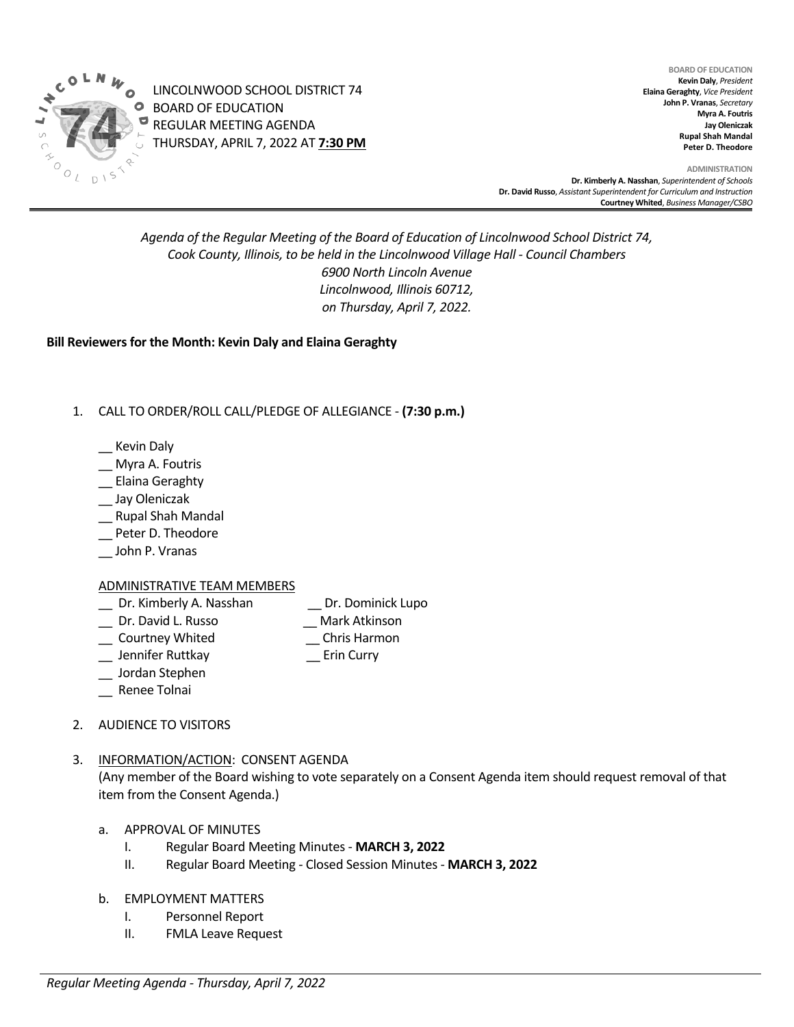

LINCOLNWOOD SCHOOL DISTRICT 74 BOARD OF EDUCATION REGULAR MEETING AGENDA THURSDAY, APRIL 7, 2022 AT **7:30 PM**

**BOARD OF EDUCATION Kevin Daly**, *President* **Elaina Geraghty**, *Vice President* **John P. Vranas**, *Secretary*  **Myra A. Foutris Jay Oleniczak Rupal Shah Mandal Peter D. Theodore**

**ADMINISTRATION Dr. Kimberly A. Nasshan**, *Superintendent of Schools* **Dr. David Russo**, *Assistant Superintendent for Curriculum and Instruction* **Courtney Whited**, *Business Manager/CSBO* 

# *Agenda of the Regular Meeting of the Board of Education of Lincolnwood School District 74, Cook County, Illinois, to be held in the Lincolnwood Village Hall - Council Chambers 6900 North Lincoln Avenue Lincolnwood, Illinois 60712, on Thursday, April 7, 2022.*

**Bill Reviewers for the Month: Kevin Daly and Elaina Geraghty** 

## 1. CALL TO ORDER/ROLL CALL/PLEDGE OF ALLEGIANCE - **(7:30 p.m.)**

- \_\_ Kevin Daly
- \_\_ Myra A. Foutris
- \_\_ Elaina Geraghty
- \_\_ Jay Oleniczak
- \_\_ Rupal Shah Mandal
- \_\_ Peter D. Theodore
- \_\_ John P. Vranas

## ADMINISTRATIVE TEAM MEMBERS

- \_\_ Dr. Kimberly A. Nasshan \_\_ Dr. Dominick Lupo
- \_\_ Dr. David L. Russo \_\_ Mark Atkinson
- \_\_ Courtney Whited \_\_ Chris Harmon
- 
- \_\_ Jennifer Ruttkay \_\_ Erin Curry
- \_\_ Jordan Stephen
- \_\_ Renee Tolnai
- 2. AUDIENCE TO VISITORS

## 3. INFORMATION/ACTION: CONSENT AGENDA

(Any member of the Board wishing to vote separately on a Consent Agenda item should request removal of that item from the Consent Agenda.)

- a. APPROVAL OF MINUTES
	- I. Regular Board Meeting Minutes **MARCH 3, 2022**
	- II. Regular Board Meeting Closed Session Minutes **MARCH 3, 2022**
- b. EMPLOYMENT MATTERS
	- I. Personnel Report
	- II. FMLA Leave Request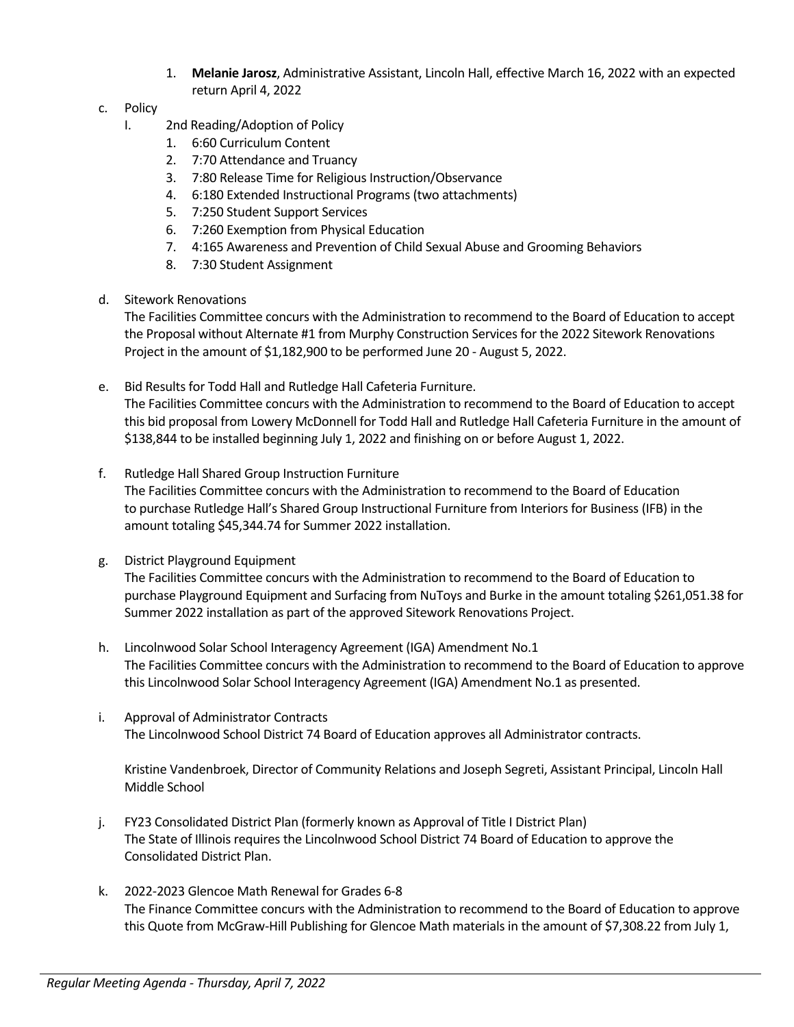- 1. **Melanie Jarosz**, Administrative Assistant, Lincoln Hall, effective March 16, 2022 with an expected return April 4, 2022
- c. Policy
	- I. 2nd Reading/Adoption of Policy
		- 1. 6:60 Curriculum Content
		- 2. 7:70 Attendance and Truancy
		- 3. 7:80 Release Time for Religious Instruction/Observance
		- 4. 6:180 Extended Instructional Programs (two attachments)
		- 5. 7:250 Student Support Services
		- 6. 7:260 Exemption from Physical Education
		- 7. 4:165 Awareness and Prevention of Child Sexual Abuse and Grooming Behaviors
		- 8. 7:30 Student Assignment
- d. Sitework Renovations

The Facilities Committee concurs with the Administration to recommend to the Board of Education to accept the Proposal without Alternate #1 from Murphy Construction Services for the 2022 Sitework Renovations Project in the amount of \$1,182,900 to be performed June 20 - August 5, 2022.

- e. Bid Results for Todd Hall and Rutledge Hall Cafeteria Furniture. The Facilities Committee concurs with the Administration to recommend to the Board of Education to accept this bid proposal from Lowery McDonnell for Todd Hall and Rutledge Hall Cafeteria Furniture in the amount of \$138,844 to be installed beginning July 1, 2022 and finishing on or before August 1, 2022.
- f. Rutledge Hall Shared Group Instruction Furniture

The Facilities Committee concurs with the Administration to recommend to the Board of Education to purchase Rutledge Hall's Shared Group Instructional Furniture from Interiors for Business (IFB) in the amount totaling \$45,344.74 for Summer 2022 installation.

g. District Playground Equipment

The Facilities Committee concurs with the Administration to recommend to the Board of Education to purchase Playground Equipment and Surfacing from NuToys and Burke in the amount totaling \$261,051.38 for Summer 2022 installation as part of the approved Sitework Renovations Project.

- h. Lincolnwood Solar School Interagency Agreement (IGA) Amendment No.1 The Facilities Committee concurs with the Administration to recommend to the Board of Education to approve this Lincolnwood Solar School Interagency Agreement (IGA) Amendment No.1 as presented.
- i. Approval of Administrator Contracts The Lincolnwood School District 74 Board of Education approves all Administrator contracts.

Kristine Vandenbroek, Director of Community Relations and Joseph Segreti, Assistant Principal, Lincoln Hall Middle School

- j. FY23 Consolidated District Plan (formerly known as Approval of Title I District Plan) The State of Illinois requires the Lincolnwood School District 74 Board of Education to approve the Consolidated District Plan.
- k. 2022-2023 Glencoe Math Renewal for Grades 6-8 The Finance Committee concurs with the Administration to recommend to the Board of Education to approve this Quote from McGraw-Hill Publishing for Glencoe Math materials in the amount of \$7,308.22 from July 1,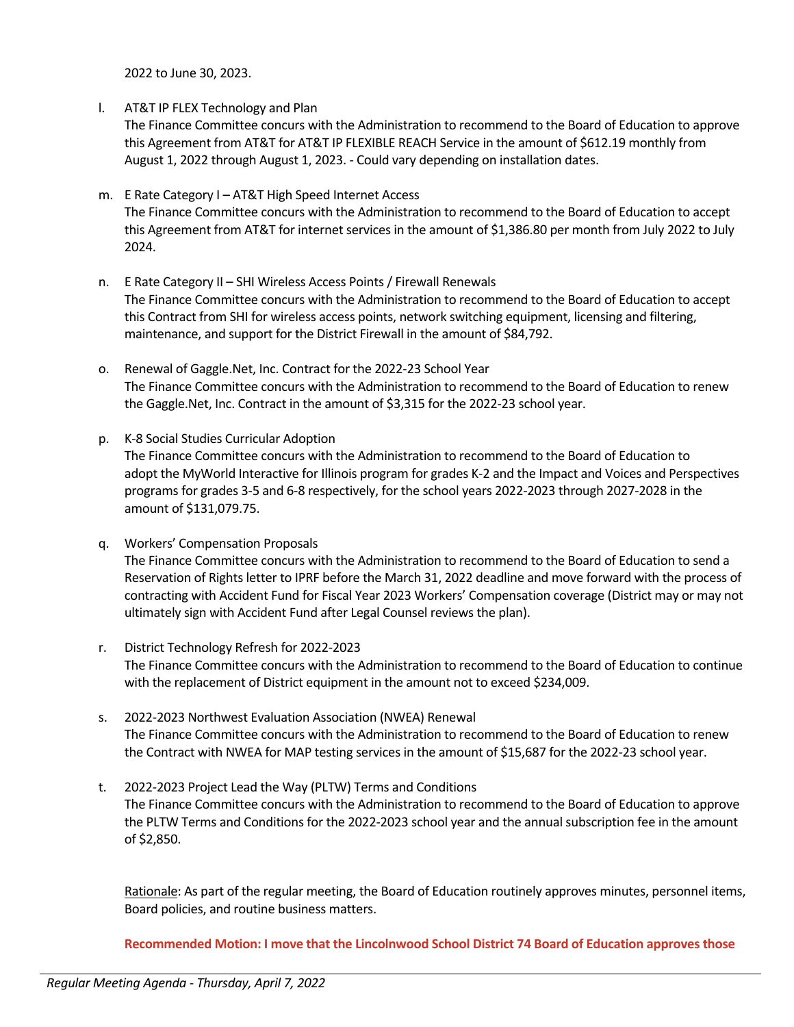2022 to June 30, 2023.

l. AT&T IP FLEX Technology and Plan

The Finance Committee concurs with the Administration to recommend to the Board of Education to approve this Agreement from AT&T for AT&T IP FLEXIBLE REACH Service in the amount of \$612.19 monthly from August 1, 2022 through August 1, 2023. - Could vary depending on installation dates.

- m. E Rate Category I AT&T High Speed Internet Access The Finance Committee concurs with the Administration to recommend to the Board of Education to accept this Agreement from AT&T for internet services in the amount of \$1,386.80 per month from July 2022 to July 2024.
- n. E Rate Category II SHI Wireless Access Points / Firewall Renewals The Finance Committee concurs with the Administration to recommend to the Board of Education to accept this Contract from SHI for wireless access points, network switching equipment, licensing and filtering, maintenance, and support for the District Firewall in the amount of \$84,792.
- o. Renewal of Gaggle.Net, Inc. Contract for the 2022-23 School Year The Finance Committee concurs with the Administration to recommend to the Board of Education to renew the Gaggle.Net, Inc. Contract in the amount of \$3,315 for the 2022-23 school year.
- p. K-8 Social Studies Curricular Adoption The Finance Committee concurs with the Administration to recommend to the Board of Education to adopt the MyWorld Interactive for Illinois program for grades K-2 and the Impact and Voices and Perspectives programs for grades 3-5 and 6-8 respectively, for the school years 2022-2023 through 2027-2028 in the amount of \$131,079.75.
- q. Workers' Compensation Proposals The Finance Committee concurs with the Administration to recommend to the Board of Education to send a Reservation of Rights letter to IPRF before the March 31, 2022 deadline and move forward with the process of contracting with Accident Fund for Fiscal Year 2023 Workers' Compensation coverage (District may or may not ultimately sign with Accident Fund after Legal Counsel reviews the plan).
- r. District Technology Refresh for 2022-2023 The Finance Committee concurs with the Administration to recommend to the Board of Education to continue with the replacement of District equipment in the amount not to exceed \$234,009.
- s. 2022-2023 Northwest Evaluation Association (NWEA) Renewal The Finance Committee concurs with the Administration to recommend to the Board of Education to renew the Contract with NWEA for MAP testing services in the amount of \$15,687 for the 2022-23 school year.
- t. 2022-2023 Project Lead the Way (PLTW) Terms and Conditions The Finance Committee concurs with the Administration to recommend to the Board of Education to approve the PLTW Terms and Conditions for the 2022-2023 school year and the annual subscription fee in the amount of \$2,850.

Rationale: As part of the regular meeting, the Board of Education routinely approves minutes, personnel items, Board policies, and routine business matters.

**Recommended Motion: I move that the Lincolnwood School District 74 Board of Education approves those**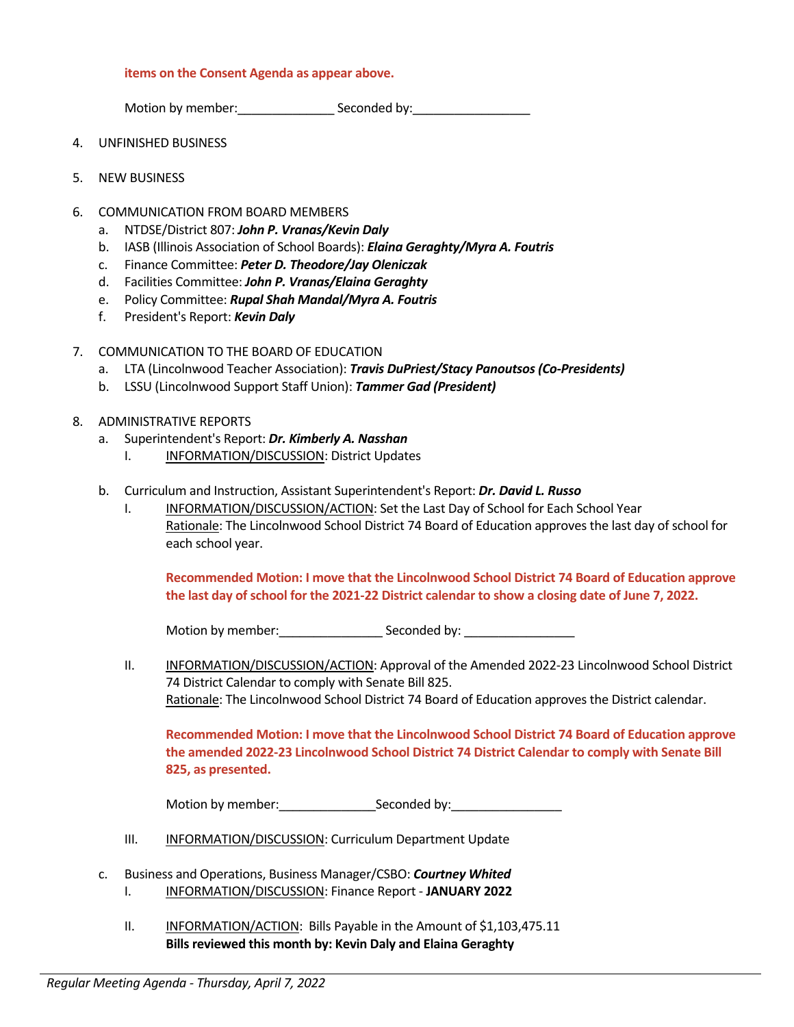### **items on the Consent Agenda as appear above.**

Motion by member: example Seconded by:

- 4. UNFINISHED BUSINESS
- 5. NEW BUSINESS
- 6. COMMUNICATION FROM BOARD MEMBERS
	- a. NTDSE/District 807: *John P. Vranas/Kevin Daly*
	- b. IASB (Illinois Association of School Boards): *Elaina Geraghty/Myra A. Foutris*
	- c. Finance Committee: *Peter D. Theodore/Jay Oleniczak*
	- d. Facilities Committee: *John P. Vranas/Elaina Geraghty*
	- e. Policy Committee: *Rupal Shah Mandal/Myra A. Foutris*
	- f. President's Report: *Kevin Daly*
- 7. COMMUNICATION TO THE BOARD OF EDUCATION
	- a. LTA (Lincolnwood Teacher Association): *Travis DuPriest/Stacy Panoutsos (Co-Presidents)*
	- b. LSSU (Lincolnwood Support Staff Union): *Tammer Gad (President)*
- 8. ADMINISTRATIVE REPORTS
	- a. Superintendent's Report: *Dr. Kimberly A. Nasshan*
		- I. **INFORMATION/DISCUSSION: District Updates**
	- b. Curriculum and Instruction, Assistant Superintendent's Report: *Dr. David L. Russo* 
		- I. INFORMATION/DISCUSSION/ACTION: Set the Last Day of School for Each School Year Rationale: The Lincolnwood School District 74 Board of Education approves the last day of school for each school year.

**Recommended Motion: I move that the Lincolnwood School District 74 Board of Education approve the last day of school for the 2021-22 District calendar to show a closing date of June 7, 2022.**

Motion by member: example Seconded by:

II. INFORMATION/DISCUSSION/ACTION: Approval of the Amended 2022-23 Lincolnwood School District 74 District Calendar to comply with Senate Bill 825. Rationale: The Lincolnwood School District 74 Board of Education approves the District calendar.

**Recommended Motion: I move that the Lincolnwood School District 74 Board of Education approve the amended 2022-23 Lincolnwood School District 74 District Calendar to comply with Senate Bill 825, as presented.**

Motion by member: example Seconded by:

- III. INFORMATION/DISCUSSION: Curriculum Department Update
- c. Business and Operations, Business Manager/CSBO: *Courtney Whited* I. INFORMATION/DISCUSSION: Finance Report - **JANUARY 2022**
	- II. INFORMATION/ACTION: Bills Payable in the Amount of \$1,103,475.11 **Bills reviewed this month by: Kevin Daly and Elaina Geraghty**